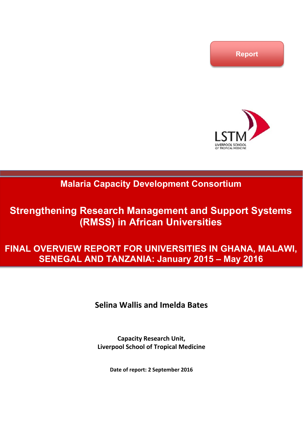

## **Malaria Capacity Development Consortium**

# **Strengthening Research Management and Support Systems (RMSS) in African Universities**

# **FINAL OVERVIEW REPORT FOR UNIVERSITIES IN GHANA, MALAWI, SENEGAL AND TANZANIA: January 2015 – May 2016**

## **Selina Wallis and Imelda Bates**

**Capacity Research Unit, Liverpool School of Tropical Medicine** 

**Date of report: 2 September 2016**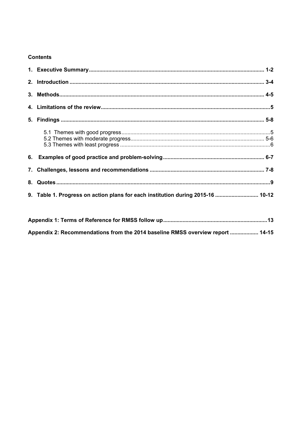#### **Contents**

| 9. Table 1. Progress on action plans for each institution during 2015-16  10-12 |  |
|---------------------------------------------------------------------------------|--|

| Appendix 2: Recommendations from the 2014 baseline RMSS overview report  14-15 |  |
|--------------------------------------------------------------------------------|--|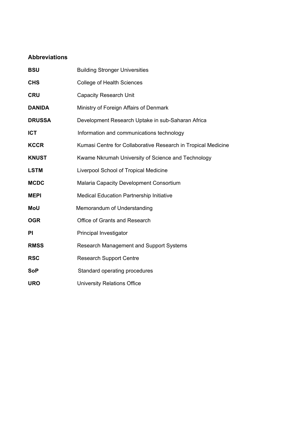## **Abbreviations**

| <b>BSU</b>    | <b>Building Stronger Universities</b>                         |
|---------------|---------------------------------------------------------------|
| <b>CHS</b>    | <b>College of Health Sciences</b>                             |
| <b>CRU</b>    | <b>Capacity Research Unit</b>                                 |
| <b>DANIDA</b> | Ministry of Foreign Affairs of Denmark                        |
| <b>DRUSSA</b> | Development Research Uptake in sub-Saharan Africa             |
| <b>ICT</b>    | Information and communications technology                     |
| <b>KCCR</b>   | Kumasi Centre for Collaborative Research in Tropical Medicine |
| <b>KNUST</b>  | Kwame Nkrumah University of Science and Technology            |
| <b>LSTM</b>   | Liverpool School of Tropical Medicine                         |
| <b>MCDC</b>   | Malaria Capacity Development Consortium                       |
| <b>MEPI</b>   | <b>Medical Education Partnership Initiative</b>               |
| MoU           | Memorandum of Understanding                                   |
| <b>OGR</b>    | Office of Grants and Research                                 |
| PI            | Principal Investigator                                        |
| <b>RMSS</b>   | Research Management and Support Systems                       |
| <b>RSC</b>    | <b>Research Support Centre</b>                                |
| <b>SoP</b>    | Standard operating procedures                                 |
| <b>URO</b>    | <b>University Relations Office</b>                            |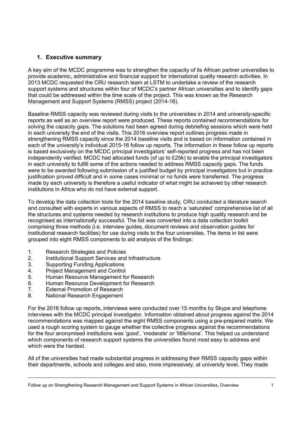## **1. Executive summary**

A key aim of the MCDC programme was to strengthen the capacity of its African partner universities to provide academic, administrative and financial support for international quality research activities. In 2013 MCDC requested the CRU research team at LSTM to undertake a review of the research support systems and structures within four of MCDC's partner African universities and to identify gaps that could be addressed within the time scale of the project. This was known as the Research Management and Support Systems (RMSS) project (2014-16).

Baseline RMSS capacity was reviewed during visits to the universities in 2014 and university-specific reports as well as an overview report were produced. These reports contained recommendations for solving the capacity gaps. The solutions had been agreed during debriefing sessions which were held in each university the end of the visits. This 2016 overview report outlines progress made in strengthening RMSS capacity since the 2014 baseline visits and is based on information contained in each of the university's individual 2015-16 follow up reports. The information in these follow up reports is based exclusively on the MCDC principal investigators' self-reported progress and has not been independently verified. MCDC had allocated funds (of up to £25k) to enable the principal investigators in each university to fulfill some of the actions needed to address RMSS capacity gaps. The funds were to be awarded following submission of a justified budget by principal investigators but in practice justification proved difficult and in some cases minimal or no funds were transferred. The progress made by each university is therefore a useful indicator of what might be achieved by other research institutions in Africa who do not have external support.

To develop the data collection tools for the 2014 baseline study, CRU conducted a literature search and consulted with experts in various aspects of RMSS to reach a 'saturated' comprehensive list of all the structures and systems needed by research institutions to produce high quality research and be recognised as internationally successful. The list was converted into a data collection toolkit comprising three methods (i.e. interview guides, document reviews and observation guides for institutional research facilities) for use during visits to the four universities. The items in list were grouped into eight RMSS components to aid analysis of the findings:

- 1. Research Strategies and Policies
- 2. Institutional Support Services and Infrastructure
- 3. Supporting Funding Applications
- 4. Project Management and Control<br>5. Human Resource Management fo
- 5. Human Resource Management for Research
- 6. Human Resource Development for Research
- 7. External Promotion of Research
- 8. National Research Engagement

For the 2016 follow up reports, interviews were conducted over 15 months by Skype and telephone interviews with the MCDC principal investigator. Information obtained about progress against the 2014 recommendations was mapped against the eight RMSS components using a pre-prepared matrix. We used a rough scoring system to gauge whether the collective progress against the recommendations for the four anonymised institutions was 'good', 'moderate' or 'little/none'. This helped us understand which components of research support systems the universities found most easy to address and which were the hardest.

All of the universities had made substantial progress in addressing their RMSS capacity gaps within their departments, schools and colleges and also, more impressively, at university level. They made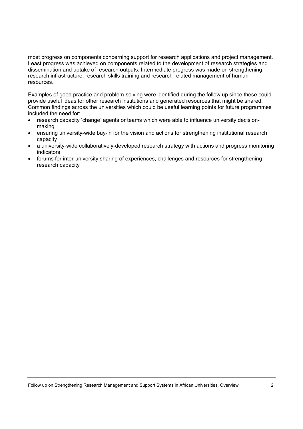most progress on components concerning support for research applications and project management. Least progress was achieved on components related to the development of research strategies and dissemination and uptake of research outputs. Intermediate progress was made on strengthening research infrastructure, research skills training and research-related management of human resources.

Examples of good practice and problem-solving were identified during the follow up since these could provide useful ideas for other research institutions and generated resources that might be shared. Common findings across the universities which could be useful learning points for future programmes included the need for:

- research capacity 'change' agents or teams which were able to influence university decisionmaking
- ensuring university-wide buy-in for the vision and actions for strengthening institutional research capacity
- a university-wide collaboratively-developed research strategy with actions and progress monitoring indicators
- forums for inter-university sharing of experiences, challenges and resources for strengthening research capacity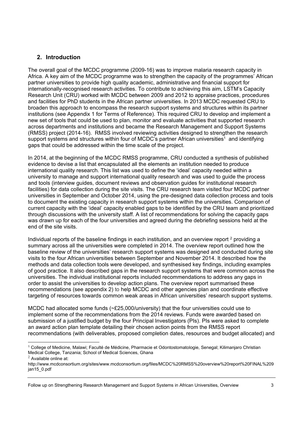## **2. Introduction**

The overall goal of the MCDC programme (2009-16) was to improve malaria research capacity in Africa. A key aim of the MCDC programme was to strengthen the capacity of the programmes' African partner universities to provide high quality academic, administrative and financial support for internationally-recognised research activities. To contribute to achieving this aim, LSTM's Capacity Research Unit (CRU) worked with MCDC between 2009 and 2012 to appraise practices, procedures and facilities for PhD students in the African partner universities. In 2013 MCDC requested CRU to broaden this approach to encompass the research support systems and structures within its partner institutions (see Appendix 1 for Terms of Reference). This required CRU to develop and implement a new set of tools that could be used to plan, monitor and evaluate activities that supported research across departments and institutions and became the Research Management and Support Systems (RMSS) project (2014-16). RMSS involved reviewing activities designed to strengthen the research support systems and structures within four of MCDC's partner African universities<sup>1</sup> and identifying gaps that could be addressed within the time scale of the project.

In 2014, at the beginning of the MCDC RMSS programme, CRU conducted a synthesis of published evidence to devise a list that encapsulated all the elements an institution needed to produce international quality research. This list was used to define the 'ideal' capacity needed within a university to manage and support international quality research and was used to guide the process and tools (interview guides, document reviews and observation guides for institutional research facilities) for data collection during the site visits. The CRU research team visited four MCDC partner universities in September and October 2014, using the pre-designed data collection process and tools to document the existing capacity in research support systems within the universities. Comparison of current capacity with the 'ideal' capacity enabled gaps to be identified by the CRU team and prioritized through discussions with the university staff. A list of recommendations for solving the capacity gaps was drawn up for each of the four universities and agreed during the debriefing sessions held at the end of the site visits.

Individual reports of the baseline findings in each institution, and an overview report 2 providing a summary across all the universities were completed in 2014. The overview report outlined how the baseline review of the universities' research support systems was designed and conducted during site visits to the four African universities between September and November 2014. It described how the methods and data collection tools were developed, and synthesised key findings, including examples of good practice. It also described gaps in the research support systems that were common across the universities. The individual institutional reports included recommendations to address any gaps in order to assist the universities to develop action plans. The overview report summarised these recommendations (see appendix 2) to help MCDC and other agencies plan and coordinate effective targeting of resources towards common weak areas in African universities' research support systems.

MCDC had allocated some funds (~£25,000/university) that the four universities could use to implement some of the recommendations from the 2014 reviews. Funds were awarded based on submission of a justified budget by the four Principal Investigators (PIs). PIs were asked to complete an award action plan template detailing their chosen action points from the RMSS report recommendations (with deliverables, proposed completion dates, resources and budget allocated) and

Follow up on Strengthening Research Management and Support Systems in African Universities, Overview 3

<sup>-</sup>1 College of Medicine, Malawi; Faculté de Médicine, Pharmacie et Odontostomatologie, Senegal; Kilimanjaro Christian Medical College, Tanzania; School of Medical Sciences, Ghana

 $2$  Available online at:

http://www.mcdconsortium.org/sites/www.mcdconsortium.org/files/MCDC%20RMSS%20overview%20report%20FINAL%209 jan15\_0.pdf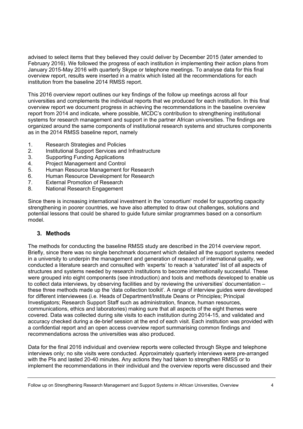advised to select items that they believed they could deliver by December 2015 (later amended to February 2016). We followed the progress of each institution in implementing their action plans from January 2015-May 2016 with quarterly Skype or telephone meetings. To analyse data for this final overview report, results were inserted in a matrix which listed all the recommendations for each institution from the baseline 2014 RMSS report.

This 2016 overview report outlines our key findings of the follow up meetings across all four universities and complements the individual reports that we produced for each institution. In this final overview report we document progress in achieving the recommendations in the baseline overview report from 2014 and indicate, where possible, MCDC's contribution to strengthening institutional systems for research management and support in the partner African universities. The findings are organized around the same components of institutional research systems and structures components as in the 2014 RMSS baseline report, namely

- 1. Research Strategies and Policies
- 2. Institutional Support Services and Infrastructure
- 3. Supporting Funding Applications
- 4. Project Management and Control
- 5. Human Resource Management for Research
- 6. Human Resource Development for Research
- 7. External Promotion of Research
- 8. National Research Engagement

Since there is increasing international investment in the 'consortium' model for supporting capacity strengthening in poorer countries, we have also attempted to draw out challenges, solutions and potential lessons that could be shared to guide future similar programmes based on a consortium model.

#### **3. Methods**

The methods for conducting the baseline RMSS study are described in the 2014 overview report. Briefly, since there was no single benchmark document which detailed all the support systems needed in a university to underpin the management and generation of research of international quality, we conducted a literature search and consulted with 'experts' to reach a 'saturated' list of all aspects of structures and systems needed by research institutions to become internationally successful. These were grouped into eight components (see introduction) and tools and methods developed to enable us to collect data interviews, by observing facilities and by reviewing the universities' documentation – these three methods made up the 'data collection toolkit'. A range of interview guides were developed for different interviewees (i.e. Heads of Department/Institute Deans or Principles; Principal Investigators; Research Support Staff such as administration, finance, human resources, communications, ethics and laboratories) making sure that all aspects of the eight themes were covered. Data was collected during site visits to each institution during 2014-15, and validated and accuracy checked during a de-brief session at the end of each visit. Each institution was provided with a confidential report and an open access overview report summarising common findings and recommendations across the universities was also produced.

Data for the final 2016 individual and overview reports were collected through Skype and telephone interviews only; no site visits were conducted. Approximately quarterly interviews were pre-arranged with the PIs and lasted 20-40 minutes. Any actions they had taken to strengthen RMSS or to implement the recommendations in their individual and the overview reports were discussed and their

Follow up on Strengthening Research Management and Support Systems in African Universities, Overview 4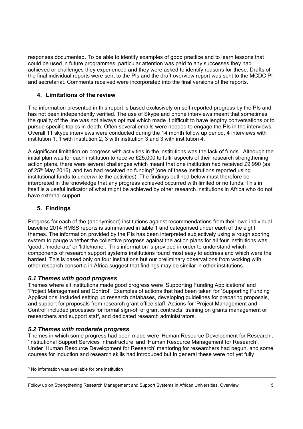responses documented. To be able to identify examples of good practice and to learn lessons that could be used in future programmes, particular attention was paid to any successes they had achieved or challenges they experienced and they were asked to identify reasons for these. Drafts of the final individual reports were sent to the PIs and the draft overview report was sent to the MCDC PI and secretariat. Comments received were incorporated into the final versions of the reports.

## **4. Limitations of the review**

The information presented in this report is based exclusively on self-reported progress by the PIs and has not been independently verified. The use of Skype and phone interviews meant that sometimes the quality of the line was not always optimal which made it difficult to have lengthy conversations or to pursue specific topics in depth. Often several emails were needed to engage the PIs in the interviews. Overall 11 skype interviews were conducted during the 14 month follow up period, 4 interviews with institution 1, 1 with institution 2, 3 with institution 3 and 3 with institution 4.

A significant limitation on progress with activities in the institutions was the lack of funds. Although the initial plan was for each institution to receive £25,000 to fulfil aspects of their research strengthening action plans, there were several challenges which meant that one institution had received £9,990 (as of 25<sup>th</sup> May 2016), and two had received no funding<sup>3</sup> (one of these institutions reported using institutional funds to underwrite the activities). The findings outlined below must therefore be interpreted in the knowledge that any progress achieved occurred with limited or no funds. This in itself is a useful indicator of what might be achieved by other research institutions in Africa who do not have external support.

## **5. Findings**

Progress for each of the (anonymised) institutions against recommendations from their own individual baseline 2014 RMSS reports is summarised in table 1 and categorised under each of the eight themes. The information provided by the PIs has been interpreted subjectively using a rough scoring system to gauge whether the collective progress against the action plans for all four institutions was 'good', 'moderate' or 'little/none'. This information is provided in order to understand which components of research support systems institutions found most easy to address and which were the hardest. This is based only on four institutions but our preliminary observations from working with other research consortia in Africa suggest that findings may be similar in other institutions.

## *5.1 Themes with good progress*

Themes where all institutions made good progress were 'Supporting Funding Applications' and 'Project Management and Control'. Examples of actions that had been taken for 'Supporting Funding Applications' included setting up research databases, developing guidelines for preparing proposals, and support for proposals from research grant office staff. Actions for 'Project Management and Control' included processes for formal sign-off of grant contracts, training on grants management or researchers and support staff, and dedicated research administrators.

## *5.2 Themes with moderate progress*

Themes in which some progress had been made were 'Human Resource Development for Research', 'Institutional Support Services Infrastructure' and 'Human Resource Management for Research'. Under 'Human Resource Development for Research' mentoring for researchers had begun, and some courses for induction and research skills had introduced but in general these were not yet fully

-

<sup>3</sup> No information was available for one institution

Follow up on Strengthening Research Management and Support Systems in African Universities, Overview 5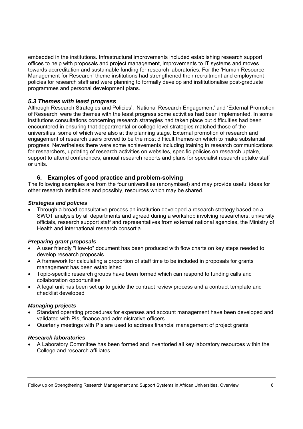embedded in the institutions. Infrastructural improvements included establishing research support offices to help with proposals and project management, improvements to IT systems and moves towards accreditation and sustainable funding for research laboratories. For the 'Human Resource Management for Research' theme institutions had strengthened their recruitment and employment policies for research staff and were planning to formally develop and institutionalise post-graduate programmes and personal development plans.

### *5.3 Themes with least progress*

Although Research Strategies and Policies', 'National Research Engagement' and 'External Promotion of Research' were the themes with the least progress some activities had been implemented. In some institutions consultations concerning research strategies had taken place but difficulties had been encountered in ensuring that departmental or college-level strategies matched those of the universities, some of which were also at the planning stage. External promotion of research and engagement of research users proved to be the most difficult themes on which to make substantial progress. Nevertheless there were some achievements including training in research communications for researchers, updating of research activities on websites, specific policies on research uptake, support to attend conferences, annual research reports and plans for specialist research uptake staff or units.

#### **6. Examples of good practice and problem-solving**

The following examples are from the four universities (anonymised) and may provide useful ideas for other research institutions and possibly, resources which may be shared.

#### *Strategies and policies*

 Through a broad consultative process an institution developed a research strategy based on a SWOT analysis by all departments and agreed during a workshop involving researchers, university officials, research support staff and representatives from external national agencies, the Ministry of Health and international research consortia.

#### *Preparing grant proposals*

- A user friendly "How-to" document has been produced with flow charts on key steps needed to develop research proposals.
- A framework for calculating a proportion of staff time to be included in proposals for grants management has been established
- Topic-specific research groups have been formed which can respond to funding calls and collaboration opportunities
- A legal unit has been set up to guide the contract review process and a contract template and checklist developed

#### *Managing projects*

- Standard operating procedures for expenses and account management have been developed and validated with PIs, finance and administrative officers.
- Quarterly meetings with PIs are used to address financial management of project grants

#### *Research laboratories*

 A Laboratory Committee has been formed and inventoried all key laboratory resources within the College and research affiliates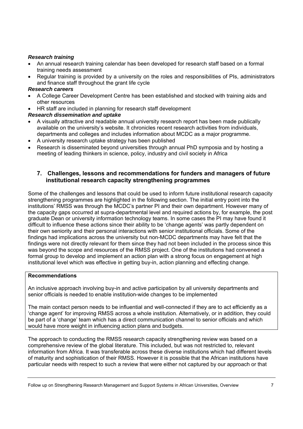#### *Research training*

- An annual research training calendar has been developed for research staff based on a formal training needs assessment
- Regular training is provided by a university on the roles and responsibilities of PIs, administrators and finance staff throughout the grant life cycle

#### *Research careers*

- A College Career Development Centre has been established and stocked with training aids and other resources
- HR staff are included in planning for research staff development

#### *Research dissemination and uptake*

- A visually attractive and readable annual university research report has been made publically available on the university's website. It chronicles recent research activities from individuals, departments and colleges and includes information about MCDC as a major programme.
- A university research uptake strategy has been published
- Research is disseminated beyond universities through annual PhD symposia and by hosting a meeting of leading thinkers in science, policy, industry and civil society in Africa

#### **7. Challenges, lessons and recommendations for funders and managers of future institutional research capacity strengthening programmes**

Some of the challenges and lessons that could be used to inform future institutional research capacity strengthening programmes are highlighted in the following section. The initial entry point into the institutions' RMSS was through the MCDC's partner PI and their own department. However many of the capacity gaps occurred at supra-departmental level and required actions by, for example, the post graduate Dean or university information technology teams. In some cases the PI may have found it difficult to influence these actions since their ability to be 'change agents' was partly dependent on their own seniority and their personal interactions with senior institutional officials. Some of the findings had implications across the university but non-MCDC departments may have felt that the findings were not directly relevant for them since they had not been included in the process since this was beyond the scope and resources of the RMSS project. One of the institutions had convened a formal group to develop and implement an action plan with a strong focus on engagement at high institutional level which was effective in getting buy-in, action planning and effecting change.

#### **Recommendations**

An inclusive approach involving buy-in and active participation by all university departments and senior officials is needed to enable institution-wide changes to be implemented

The main contact person needs to be influential and well-connected if they are to act efficiently as a 'change agent' for improving RMSS across a whole institution. Alternatively, or in addition, they could be part of a 'change' team which has a direct communication channel to senior officials and which would have more weight in influencing action plans and budgets.

The approach to conducting the RMSS research capacity strengthening review was based on a comprehensive review of the global literature. This included, but was not restricted to, relevant information from Africa. It was transferable across these diverse institutions which had different levels of maturity and sophistication of their RMSS. However it is possible that the African institutions have particular needs with respect to such a review that were either not captured by our approach or that

Follow up on Strengthening Research Management and Support Systems in African Universities, Overview 7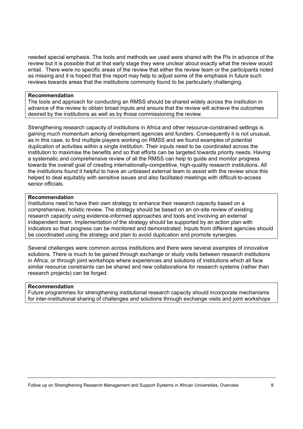needed special emphasis. The tools and methods we used were shared with the PIs in advance of the review but it is possible that at that early stage they were unclear about exactly what the review would entail. There were no specific areas of the review that either the review team or the participants noted as missing and it is hoped that this report may help to adjust some of the emphasis in future such reviews towards areas that the institutions commonly found to be particularly challenging.

#### **Recommendation**

The tools and approach for conducting an RMSS should be shared widely across the institution in advance of the review to obtain broad inputs and ensure that the review will achieve the outcomes desired by the institutions as well as by those commissioning the review.

Strengthening research capacity of institutions in Africa and other resource-constrained settings is gaining much momentum among development agencies and funders. Consequently it is not unusual, as in this case, to find multiple players working on RMSS and we found examples of potential duplication of activities within a single institution. Their inputs need to be coordinated across the institution to maximise the benefits and so that efforts can be targeted towards priority needs. Having a systematic and comprehensive review of all the RMSS can help to guide and monitor progress towards the overall goal of creating internationally-competitive, high-quality research institutions. All the institutions found it helpful to have an unbiased external team to assist with the review since this helped to deal equitably with sensitive issues and also facilitated meetings with difficult-to-access senior officials.

#### **Recommendation**

Institutions need to have their own strategy to enhance their research capacity based on a comprehensive, holistic review. The strategy should be based on an on-site review of existing research capacity using evidence-informed approaches and tools and involving an external independent team. Implementation of the strategy should be supported by an action plan with indicators so that progress can be monitored and demonstrated. Inputs from different agencies should be coordinated using the strategy and plan to avoid duplication and promote synergies.

Several challenges were common across institutions and there were several examples of innovative solutions. There is much to be gained through exchange or study visits between research institutions in Africa, or through joint workshops where experiences and solutions of institutions which all face similar resource constraints can be shared and new collaborations for research systems (rather than research projects) can be forged.

#### **Recommendation**

Future programmes for strengthening institutional research capacity should incorporate mechanisms for inter-institutional sharing of challenges and solutions through exchange visits and joint workshops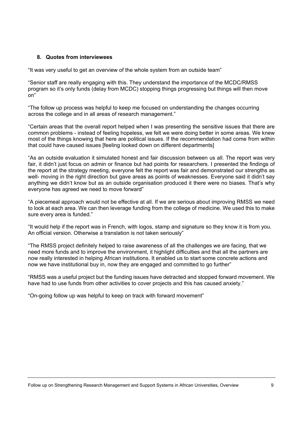#### **8. Quotes from interviewees**

"It was very useful to get an overview of the whole system from an outside team"

"Senior staff are really engaging with this. They understand the importance of the MCDC/RMSS program so it's only funds (delay from MCDC) stopping things progressing but things will then move on"

"The follow up process was helpful to keep me focused on understanding the changes occurring across the college and in all areas of research management."

"Certain areas that the overall report helped when I was presenting the sensitive issues that there are common problems - instead of feeling hopeless, we felt we were doing better in some areas. We knew most of the things knowing that here are political issues. If the recommendation had come from within that could have caused issues [feeling looked down on different departments]

"As an outside evaluation it simulated honest and fair discussion between us all. The report was very fair, it didn't just focus on admin or finance but had points for researchers. I presented the findings of the report at the strategy meeting, everyone felt the report was fair and demonstrated our strengths as well- moving in the right direction but gave areas as points of weaknesses. Everyone said it didn't say anything we didn't know but as an outside organisation produced it there were no biases. That's why everyone has agreed we need to move forward"

"A piecemeal approach would not be effective at all. If we are serious about improving RMSS we need to look at each area. We can then leverage funding from the college of medicine. We used this to make sure every area is funded."

"It would help if the report was in French, with logos, stamp and signature so they know it is from you. An official version. Otherwise a translation is not taken seriously"

"The RMSS project definitely helped to raise awareness of all the challenges we are facing, that we need more funds and to improve the environment, it highlight difficulties and that all the partners are now really interested in helping African institutions. It enabled us to start some concrete actions and now we have institutional buy in, now they are engaged and committed to go further"

"RMSS was a useful project but the funding issues have detracted and stopped forward movement. We have had to use funds from other activities to cover projects and this has caused anxiety."

"On-going follow up was helpful to keep on track with forward movement"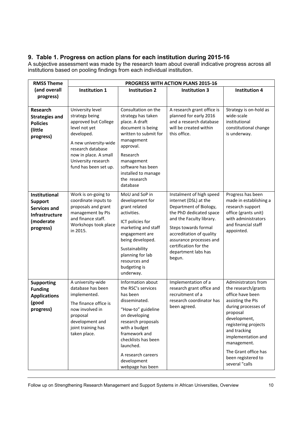## **9. Table 1. Progress on action plans for each institution during 2015-16**

A subjective assessment was made by the research team about overall indicative progress across all institutions based on pooling findings from each individual institution.

| <b>RMSS Theme</b>                                                                                         | PROGRESS WITH ACTION PLANS 2015-16                                                                                                                                                                               |                                                                                                                                                                                                                                                                  |                                                                                                                                                                                                                                                                             |                                                                                                                                                                                                                                                                                     |
|-----------------------------------------------------------------------------------------------------------|------------------------------------------------------------------------------------------------------------------------------------------------------------------------------------------------------------------|------------------------------------------------------------------------------------------------------------------------------------------------------------------------------------------------------------------------------------------------------------------|-----------------------------------------------------------------------------------------------------------------------------------------------------------------------------------------------------------------------------------------------------------------------------|-------------------------------------------------------------------------------------------------------------------------------------------------------------------------------------------------------------------------------------------------------------------------------------|
| (and overall                                                                                              | <b>Institution 1</b>                                                                                                                                                                                             | <b>Institution 2</b>                                                                                                                                                                                                                                             | <b>Institution 3</b>                                                                                                                                                                                                                                                        | <b>Institution 4</b>                                                                                                                                                                                                                                                                |
| progress)                                                                                                 |                                                                                                                                                                                                                  |                                                                                                                                                                                                                                                                  |                                                                                                                                                                                                                                                                             |                                                                                                                                                                                                                                                                                     |
| <b>Research</b><br><b>Strategies and</b><br><b>Policies</b><br>(little<br>progress)                       | University level<br>strategy being<br>approved but College<br>level not yet<br>developed.<br>A new university-wide<br>research database<br>now in place. A small<br>University research<br>fund has been set up. | Consultation on the<br>strategy has taken<br>place. A draft<br>document is being<br>written to submit for<br>management<br>approval.<br>Research<br>management<br>software has been<br>installed to manage<br>the research<br>database                           | A research grant office is<br>planned for early 2016<br>and a research database<br>will be created within<br>this office.                                                                                                                                                   | Strategy is on-hold as<br>wide-scale<br>institutional<br>constitutional change<br>is underway.                                                                                                                                                                                      |
| <b>Institutional</b><br><b>Support</b><br><b>Services and</b><br>Infrastructure<br>(moderate<br>progress) | Work is on-going to<br>coordinate inputs to<br>proposals and grant<br>management by PIs<br>and finance staff.<br>Workshops took place<br>in 2015.                                                                | MoU and SoP in<br>development for<br>grant related<br>activities.<br>ICT policies for<br>marketing and staff<br>engagement are<br>being developed.<br>Sustainability<br>planning for lab<br>resources and<br>budgeting is<br>underway.                           | Instalment of high speed<br>internet (DSL) at the<br>Department of Biology,<br>the PhD dedicated space<br>and the Faculty library.<br>Steps towards formal<br>accreditation of quality<br>assurance processes and<br>certification for the<br>department labs has<br>begun. | Progress has been<br>made in establishing a<br>research support<br>office (grants unit)<br>with administrators<br>and financial staff<br>appointed.                                                                                                                                 |
| <b>Supporting</b><br><b>Funding</b><br><b>Applications</b><br>(good<br>progress)                          | A university-wide<br>database has been<br>implemented.<br>The finance office is<br>now involved in<br>proposal<br>development and<br>joint training has<br>taken place.                                          | Information about<br>the RSC's services<br>has been<br>disseminated.<br>"How-to" guideline<br>on developing<br>research proposals<br>with a budget<br>framework and<br>checklists has been<br>launched.<br>A research careers<br>development<br>webpage has been | Implementation of a<br>research grant office and<br>recruitment of a<br>research coordinator has<br>been agreed.                                                                                                                                                            | Administrators from<br>the research/grants<br>office have been<br>assisting the PIs<br>during processes of<br>proposal<br>development,<br>registering projects<br>and tracking<br>implementation and<br>management.<br>The Grant office has<br>been registered to<br>several "calls |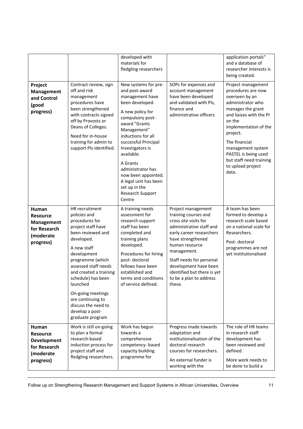|                                                                                          |                                                                                                                                                                                                                                                                                                                                                         | developed with<br>materials for<br>fledgling researchers                                                                                                                                                                                                                                                                                                             |                                                                                                                                                                                                                                                                                                            | application portals"<br>and a database of<br>researcher interests is<br>being created.                                                                                                                                                                                                                |
|------------------------------------------------------------------------------------------|---------------------------------------------------------------------------------------------------------------------------------------------------------------------------------------------------------------------------------------------------------------------------------------------------------------------------------------------------------|----------------------------------------------------------------------------------------------------------------------------------------------------------------------------------------------------------------------------------------------------------------------------------------------------------------------------------------------------------------------|------------------------------------------------------------------------------------------------------------------------------------------------------------------------------------------------------------------------------------------------------------------------------------------------------------|-------------------------------------------------------------------------------------------------------------------------------------------------------------------------------------------------------------------------------------------------------------------------------------------------------|
| Project<br><b>Management</b><br>and Control<br>(good<br>progress)                        | Contract review, sign<br>off and risk<br>management<br>procedures have<br>been strengthened<br>with contracts signed<br>off by Provosts or<br>Deans of Colleges.<br>Need for in-house<br>training for admin to<br>support PIs identified.                                                                                                               | New systems for pre-<br>and post-award<br>management have<br>been developed.<br>A new policy for<br>compulsory post-<br>award "Grants<br>Management"<br>inductions for all<br>successful Principal<br>Investigators is<br>available.<br>A Grants<br>administrator has<br>now been appointed.<br>A legal unit has been<br>set up in the<br>Research Support<br>Centre | SOPs for expenses and<br>account management<br>have been developed<br>and validated with PIs,<br>finance and<br>administrative officers                                                                                                                                                                    | Project management<br>procedures are now<br>overseen by an<br>administrator who<br>manages the grant<br>and liaises with the PI<br>on the<br>implementation of the<br>project.<br>The financial<br>management system<br>PASTEL is being used<br>but staff need training<br>to upload project<br>data. |
| Human<br><b>Resource</b><br><b>Management</b><br>for Research<br>(moderate<br>progress)  | HR recruitment<br>policies and<br>procedures for<br>project staff have<br>been reviewed and<br>developed.<br>A new staff<br>development<br>programme (which<br>assessed staff needs<br>and created a training<br>schedule) has been<br>launched<br>On-going meetings<br>are continuing to<br>discuss the need to<br>develop a post-<br>graduate program | A training needs<br>assessment for<br>research support<br>staff has been<br>completed and<br>training plans<br>developed.<br>Procedures for hiring<br>post-doctoral<br>fellows have been<br>established and<br>terms and conditions<br>of service defined.                                                                                                           | Project management<br>training courses and<br>cross site visits for<br>administrative staff and<br>early career researchers<br>have strengthened<br>human resource<br>management.<br>Staff needs for personal<br>development have been<br>identified but there is yet<br>to be a plan to address<br>these. | A team has been<br>formed to develop a<br>research scale based<br>on a national scale for<br>Researchers.<br>Post-doctoral<br>programmes are not<br>yet institutionalised                                                                                                                             |
| Human<br><b>Resource</b><br><b>Development</b><br>for Research<br>(moderate<br>progress) | Work is still on-going<br>to plan a formal<br>research-based<br>induction process for<br>project staff and<br>fledgling researchers.                                                                                                                                                                                                                    | Work has begun<br>towards a<br>comprehensive<br>competency-based<br>capacity building<br>programme for                                                                                                                                                                                                                                                               | Progress made towards<br>adaptation and<br>institutionalisation of the<br>doctoral research<br>courses for researchers.<br>An external funder is<br>working with the                                                                                                                                       | The role of HR teams<br>in research staff<br>development has<br>been reviewed and<br>defined.<br>More work needs to<br>be done to build a                                                                                                                                                             |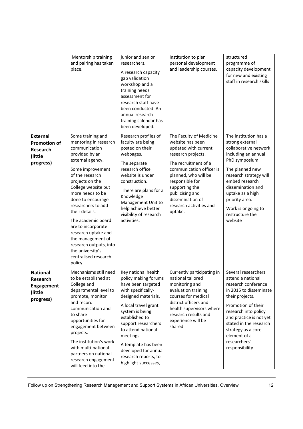|                                                                            | Mentorship training<br>and pairing has taken<br>place.                                                                                                                                                                                                                                                                                                                                                                                       | junior and senior<br>researchers.<br>A research capacity<br>gap validation<br>workshop and a<br>training needs<br>assessment for<br>research staff have<br>been conducted. An<br>annual research<br>training calendar has<br>been developed.                                                                                         | institution to plan<br>personal development<br>and leadership courses.                                                                                                                                                                                                                  | structured<br>programme of<br>capacity development<br>for new and existing<br>staff in research skills                                                                                                                                                                                   |
|----------------------------------------------------------------------------|----------------------------------------------------------------------------------------------------------------------------------------------------------------------------------------------------------------------------------------------------------------------------------------------------------------------------------------------------------------------------------------------------------------------------------------------|--------------------------------------------------------------------------------------------------------------------------------------------------------------------------------------------------------------------------------------------------------------------------------------------------------------------------------------|-----------------------------------------------------------------------------------------------------------------------------------------------------------------------------------------------------------------------------------------------------------------------------------------|------------------------------------------------------------------------------------------------------------------------------------------------------------------------------------------------------------------------------------------------------------------------------------------|
| <b>External</b><br><b>Promotion of</b><br>Research<br>(little<br>progress) | Some training and<br>mentoring in research<br>communication<br>provided by an<br>external agency.<br>Some improvement<br>of the research<br>projects on the<br>College website but<br>more needs to be<br>done to encourage<br>researchers to add<br>their details.<br>The academic board<br>are to incorporate<br>research uptake and<br>the management of<br>research outputs, into<br>the university's<br>centralised research<br>policy. | Research profiles of<br>faculty are being<br>posted on their<br>webpages.<br>The separate<br>research office<br>website is under<br>construction.<br>There are plans for a<br>Knowledge<br>Management Unit to<br>help achieve better<br>visibility of research<br>activities.                                                        | The Faculty of Medicine<br>website has been<br>updated with current<br>research projects.<br>The recruitment of a<br>communication officer is<br>planned, who will be<br>responsible for<br>supporting the<br>publicising and<br>dissemination of<br>research activities and<br>uptake. | The institution has a<br>strong external<br>collaborative network<br>including an annual<br>PhD symposium.<br>The planned new<br>research strategy will<br>embed research<br>dissemination and<br>uptake as a high<br>priority area.<br>Work is ongoing to<br>restructure the<br>website |
| <b>National</b><br><b>Research</b><br>Engagement<br>(little<br>progress)   | Mechanisms still need<br>to be established at<br>College and<br>departmental level to<br>promote, monitor<br>and record<br>communication and<br>to share<br>opportunities for<br>engagement between<br>projects.<br>The institution's work<br>with multi-national<br>partners on national<br>research engagement<br>will feed into the                                                                                                       | Key national health<br>policy making forums<br>have been targeted<br>with specifically-<br>designed materials.<br>A local travel grant<br>system is being<br>established to<br>support researchers<br>to attend national<br>meetings.<br>A template has been<br>developed for annual<br>research reports, to<br>highlight successes, | Currently participating in<br>national tailored<br>monitoring and<br>evaluation training<br>courses for medical<br>district officers and<br>health supervisors where<br>research results and<br>experience will be<br>shared                                                            | Several researchers<br>attend a national<br>research conference<br>in 2015 to disseminate<br>their projects.<br>Promotion of their<br>research into policy<br>and practice is not yet<br>stated in the research<br>strategy as a core<br>element of a<br>researchers'<br>responsibility  |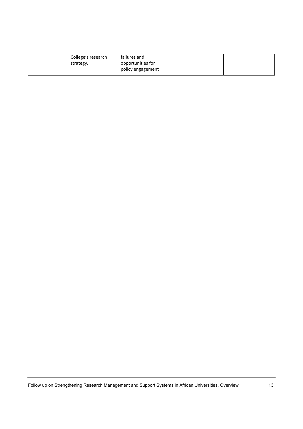| College's research<br>strategy. | failures and<br>opportunities for |  |
|---------------------------------|-----------------------------------|--|
|                                 | policy engagement                 |  |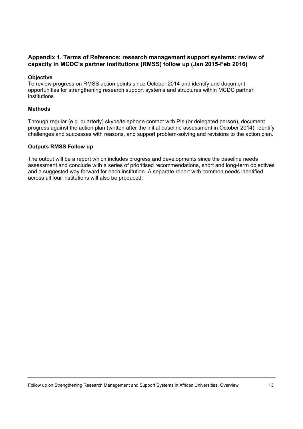#### **Appendix 1. Terms of Reference: research management support systems: review of capacity in MCDC's partner institutions (RMSS) follow up (Jan 2015-Feb 2016)**

#### **Objective**

To review progress on RMSS action points since October 2014 and identify and document opportunities for strengthening research support systems and structures within MCDC partner institutions

#### **Methods**

Through regular (e.g. quarterly) skype/telephone contact with PIs (or delegated person), document progress against the action plan (written after the initial baseline assessment in October 2014), identify challenges and successes with reasons, and support problem-solving and revisions to the action plan.

#### **Outputs RMSS Follow up**

The output will be a report which includes progress and developments since the baseline needs assessment and conclude with a series of prioritised recommendations, short and long-term objectives and a suggested way forward for each institution. A separate report with common needs identified across all four institutions will also be produced.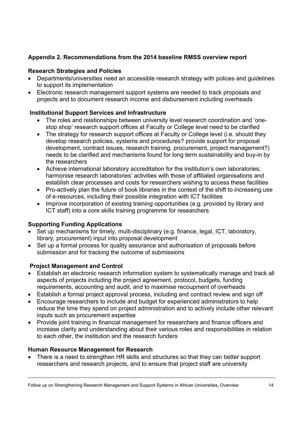## **Appendix 2. Recommendations from the 2014 baseline RMSS overview report**

## **Research Strategies and Policies**

- Departments/universities need an accessible research strategy with polices and guidelines to support its implementation
- Electronic research management support systems are needed to track proposals and projects and to document research income and disbursement including overheads

## **Institutional Support Services and Infrastructure**

- The roles and relationships between university level research coordination and 'onestop shop' research support offices at Faculty or College level need to be clarified
- The strategy for research support offices at Faculty or College level (i.e. should they develop research policies, systems and procedures? provide support for proposal development, contract issues, research training, procurement, project management?) needs to be clarified and mechanisms found for long term sustainability and buy-in by the researchers
- Achieve international laboratory accreditation for the institution's own laboratories; harmonise research laboratories' activities with those of affiliated organisations and establish clear processes and costs for researchers wishing to access these facilities
- Pro-actively plan the future of book libraries in the context of the shift to increasing use of e-resources, including their possible integration with ICT facilities
- Improve incorporation of existing training opportunities (e.g. provided by library and ICT staff) into a core skills training programme for researchers

## **Supporting Funding Applications**

- Set up mechanisms for timely, multi-disciplinary (e.g. finance, legal, ICT, laboratory, library, procurement) input into proposal development
- Set up a formal process for quality assurance and authorisation of proposals before submission and for tracking the outcome of submissions

## **Project Management and Control**

- Establish an electronic research information system to systematically manage and track all aspects of projects including the project agreement, protocol, budgets, funding requirements, accounting and audit, and to maximise recoupment of overheads
- Establish a formal project approval process, including and contract review and sign off
- Encourage researchers to include and budget for experienced administrators to help reduce the time they spend on project administration and to actively include other relevant inputs such as procurement expertise
- Provide joint training in financial management for researchers and finance officers and increase clarity and understanding about their various roles and responsibilities in relation to each other, the institution and the research funders

## **Human Resource Management for Research**

• There is a need to strengthen HR skills and structures so that they can better support researchers and research projects, and to ensure that project staff are university